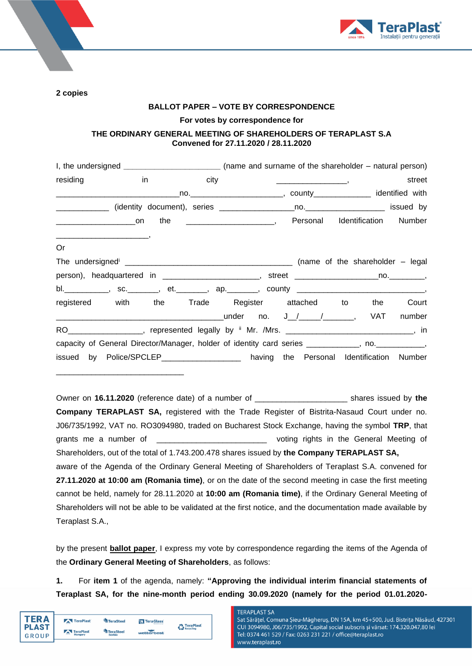

**2 copies** 

### **BALLOT PAPER – VOTE BY CORRESPONDENCE**

**For votes by correspondence for** 

## **THE ORDINARY GENERAL MEETING OF SHAREHOLDERS OF TERAPLAST S.A Convened for 27.11.2020 / 28.11.2020**

|          |                                                                                                                     |  |  | I, the undersigned _____________________________(name and surname of the shareholder – natural person) |        |
|----------|---------------------------------------------------------------------------------------------------------------------|--|--|--------------------------------------------------------------------------------------------------------|--------|
| residing | in<br>and the control of the city of the control of the control of the control of the control of the control of the |  |  | $\frac{1}{2}$                                                                                          | street |
|          |                                                                                                                     |  |  |                                                                                                        |        |
|          |                                                                                                                     |  |  |                                                                                                        |        |
|          |                                                                                                                     |  |  | _______________________on the __________________________, Personal Identification Number               |        |
| Or       |                                                                                                                     |  |  |                                                                                                        |        |
|          |                                                                                                                     |  |  |                                                                                                        |        |
|          |                                                                                                                     |  |  | person), headquartered in ________________________, street ______________________no.__________,        |        |
|          |                                                                                                                     |  |  | bl. ___________, sc. _______, et. _______, ap. _______, county _____________________________,          |        |
|          |                                                                                                                     |  |  | registered with the Trade Register attached to the Court                                               |        |
|          |                                                                                                                     |  |  |                                                                                                        |        |
|          |                                                                                                                     |  |  | RO____________________, represented legally by ii Mr. /Mrs. _______________________________, in        |        |
|          |                                                                                                                     |  |  | capacity of General Director/Manager, holder of identity card series __________, no. __________,       |        |
|          |                                                                                                                     |  |  | issued by Police/SPCLEP__________________ having the Personal Identification Number                    |        |

Owner on **16.11.2020** (reference date) of a number of \_\_\_\_\_\_\_\_\_\_\_\_\_\_\_\_\_\_\_\_\_ shares issued by **the Company TERAPLAST SA,** registered with the Trade Register of Bistrita-Nasaud Court under no. J06/735/1992, VAT no. RO3094980, traded on Bucharest Stock Exchange, having the symbol **TRP**, that grants me a number of **EXACTE 10** and the voting rights in the General Meeting of Shareholders, out of the total of 1.743.200.478 shares issued by **the Company TERAPLAST SA,** aware of the Agenda of the Ordinary General Meeting of Shareholders of Teraplast S.A. convened for **27.11.2020 at 10:00 am (Romania time)**, or on the date of the second meeting in case the first meeting cannot be held, namely for 28.11.2020 at **10:00 am (Romania time)**, if the Ordinary General Meeting of Shareholders will not be able to be validated at the first notice, and the documentation made available by Teraplast S.A.,

by the present **ballot paper**, I express my vote by correspondence regarding the items of the Agenda of the **Ordinary General Meeting of Shareholders**, as follows:

**1.** For **item 1** of the agenda, namely: **"Approving the individual interim financial statements of Teraplast SA, for the nine-month period ending 30.09.2020 (namely for the period 01.01.2020-**

| [FR Δ        | TeraPlast | TeraSteel        | TeraGlass  | TeraPlast |
|--------------|-----------|------------------|------------|-----------|
| <b>PLAST</b> | TeraPlast | <b>TeraSteel</b> |            | Recycling |
| GROUP        | Hungary   | Serbia           | wetterbest |           |

\_\_\_\_\_\_\_\_\_\_\_\_\_\_\_\_\_\_\_\_\_\_\_\_\_\_\_\_\_

### **TERAPLAST SA**

Sat Sărățel, Comuna Șieu-Măgheruș, DN 15A, km 45+500, Jud. Bistrița Năsăud, 427301 CUI 3094980, J06/735/1992, Capital social subscris și vărsat: 174.320.047,80 lei Tel: 0374 461 529 / Fax: 0263 231 221 / office@teraplast.ro www.teraplast.ro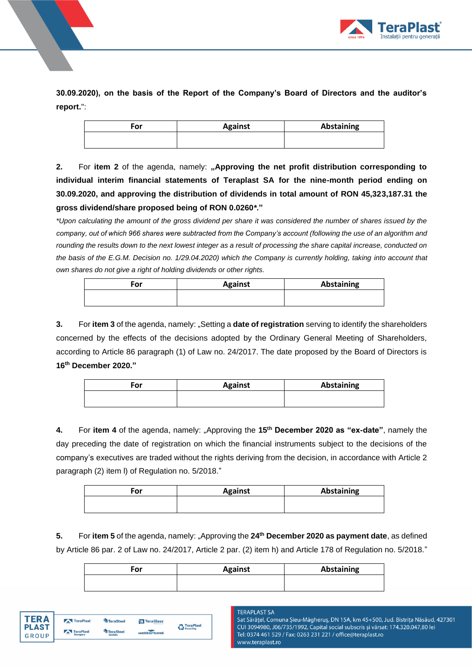

**30.09.2020), on the basis of the Report of the Company's Board of Directors and the auditor's report.**":

| For | <b>Against</b> | Abstaining |
|-----|----------------|------------|
|     |                |            |

**2.** For item 2 of the agenda, namely: "Approving the net profit distribution corresponding to **individual interim financial statements of Teraplast SA for the nine-month period ending on 30.09.2020, and approving the distribution of dividends in total amount of RON 45,323,187.31 the gross dividend/share proposed being of RON 0.0260***\****."**

*\*Upon calculating the amount of the gross dividend per share it was considered the number of shares issued by the company, out of which 966 shares were subtracted from the Company's account (following the use of an algorithm and rounding the results down to the next lowest integer as a result of processing the share capital increase, conducted on the basis of the E.G.M. Decision no. 1/29.04.2020) which the Company is currently holding, taking into account that own shares do not give a right of holding dividends or other rights.*

| For | <b>Against</b> | Abstaining |
|-----|----------------|------------|
|     |                |            |

**3.** For **item 3** of the agenda, namely: "Setting a **date of registration** serving to identify the shareholders concerned by the effects of the decisions adopted by the Ordinary General Meeting of Shareholders, according to Article 86 paragraph (1) of Law no. 24/2017. The date proposed by the Board of Directors is **16th December 2020."**

| For | <b>Against</b> | Abstaining |
|-----|----------------|------------|
|     |                |            |

**4.** For **item 4** of the agenda, namely: "Approving the **15th December 2020 as "ex-date"**, namely the day preceding the date of registration on which the financial instruments subject to the decisions of the company's executives are traded without the rights deriving from the decision, in accordance with Article 2 paragraph (2) item l) of Regulation no. 5/2018."

| For | <b>Against</b> | Abstaining |
|-----|----------------|------------|
|     |                |            |

**5.** For **item 5** of the agenda, namely: "Approving the **24th December 2020 as payment date**, as defined by Article 86 par. 2 of Law no. 24/2017, Article 2 par. (2) item h) and Article 178 of Regulation no. 5/2018."

| For | <b>Against</b> | Abstaining |
|-----|----------------|------------|
|     |                |            |

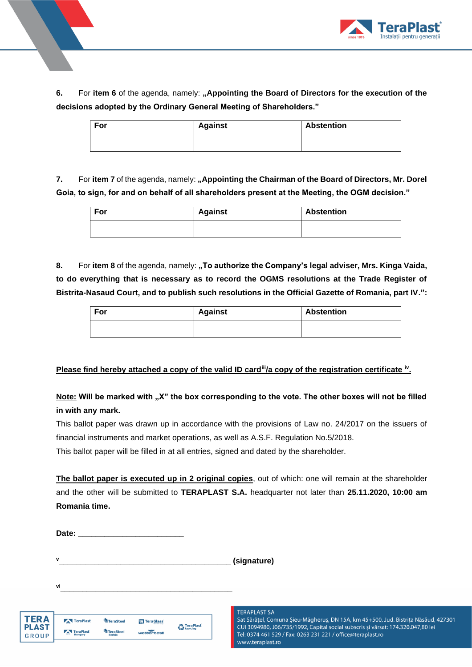

**6.** For item 6 of the agenda, namely: "Appointing the Board of Directors for the execution of the **decisions adopted by the Ordinary General Meeting of Shareholders."**

| For | Against | <b>Abstention</b> |
|-----|---------|-------------------|
|     |         |                   |

**7.** For item 7 of the agenda, namely: "Appointing the Chairman of the Board of Directors, Mr. Dorel **Goia, to sign, for and on behalf of all shareholders present at the Meeting, the OGM decision."**

| For | <b>Against</b> | <b>Abstention</b> |
|-----|----------------|-------------------|
|     |                |                   |

8. For item 8 of the agenda, namely: "To authorize the Company's legal adviser, Mrs. Kinga Vaida, **to do everything that is necessary as to record the OGMS resolutions at the Trade Register of Bistrita-Nasaud Court, and to publish such resolutions in the Official Gazette of Romania, part IV.":**

| For | <b>Against</b> | <b>Abstention</b> |
|-----|----------------|-------------------|
|     |                |                   |

# **Please find hereby attached a copy of the valid ID card<sup>ii</sup>/a copy of the registration certificate <sup>iv</sup>.**

Note: Will be marked with "X" the box corresponding to the vote. The other boxes will not be filled **in with any mark.** 

This ballot paper was drawn up in accordance with the provisions of Law no. 24/2017 on the issuers of financial instruments and market operations, as well as A.S.F. Regulation No.5/2018.

This ballot paper will be filled in at all entries, signed and dated by the shareholder.

**The ballot paper is executed up in 2 original copies**, out of which: one will remain at the shareholder and the other will be submitted to **TERAPLAST S.A.** headquarter not later than **25.11.2020, 10:00 am Romania time.** 

| Date: |  |
|-------|--|
|-------|--|

**v** $\bullet$  (signature)

| TERA  |
|-------|
| PLAST |
| GROUP |

| <b>TeraPlast</b> | TeraSteel                  | TeraGlass  | <b>C</b> TeraPlast |
|------------------|----------------------------|------------|--------------------|
| TeraPlast        | <b>TeraSteel</b><br>Serhia | wetterbest |                    |

**vi\_\_\_\_\_\_\_\_\_\_\_\_\_\_\_\_\_\_\_\_\_\_\_\_\_\_\_\_\_\_\_\_\_\_\_\_\_\_\_**

**TERAPLAST SA** 

Sat Sărățel, Comuna Șieu-Măgheruș, DN 15A, km 45+500, Jud. Bistrița Năsăud, 427301 CUI 3094980, J06/735/1992, Capital social subscris și vărsat: 174.320.047,80 lei Tel: 0374 461 529 / Fax: 0263 231 221 / office@teraplast.ro www.teraplast.ro